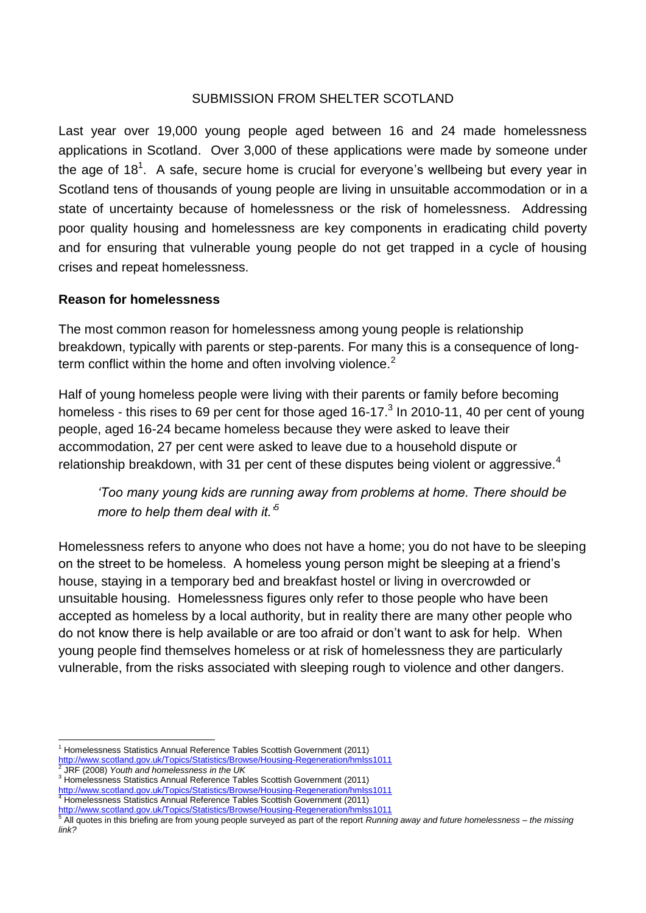#### SUBMISSION FROM SHELTER SCOTLAND

Last year over 19,000 young people aged between 16 and 24 made homelessness applications in Scotland. Over 3,000 of these applications were made by someone under the age of 18<sup>1</sup>. A safe, secure home is crucial for everyone's wellbeing but every year in Scotland tens of thousands of young people are living in unsuitable accommodation or in a state of uncertainty because of homelessness or the risk of homelessness. Addressing poor quality housing and homelessness are key components in eradicating child poverty and for ensuring that vulnerable young people do not get trapped in a cycle of housing crises and repeat homelessness.

### **Reason for homelessness**

The most common reason for homelessness among young people is relationship breakdown, typically with parents or step-parents. For many this is a consequence of longterm conflict within the home and often involving violence.<sup>2</sup>

Half of young homeless people were living with their parents or family before becoming homeless - this rises to 69 per cent for those aged 16-17. $3$  In 2010-11, 40 per cent of young people, aged 16-24 became homeless because they were asked to leave their accommodation, 27 per cent were asked to leave due to a household dispute or relationship breakdown, with 31 per cent of these disputes being violent or aggressive.<sup>4</sup>

*'Too many young kids are running away from problems at home. There should be more to help them deal with it.'<sup>5</sup>*

Homelessness refers to anyone who does not have a home; you do not have to be sleeping on the street to be homeless. A homeless young person might be sleeping at a friend's house, staying in a temporary bed and breakfast hostel or living in overcrowded or unsuitable housing. Homelessness figures only refer to those people who have been accepted as homeless by a local authority, but in reality there are many other people who do not know there is help available or are too afraid or don't want to ask for help. When young people find themselves homeless or at risk of homelessness they are particularly vulnerable, from the risks associated with sleeping rough to violence and other dangers.

-

<sup>&</sup>lt;sup>1</sup> Homelessness Statistics Annual Reference Tables Scottish Government (2011)

<http://www.scotland.gov.uk/Topics/Statistics/Browse/Housing-Regeneration/hmlss1011><br>2 JDF (2008), Vouth and hamalaassese in the UK

JRF (2008) *Youth and homelessness in the UK*

<sup>&</sup>lt;sup>3</sup> Homelessness Statistics Annual Reference Tables Scottish Government (2011) <http://www.scotland.gov.uk/Topics/Statistics/Browse/Housing-Regeneration/hmlss1011> <sup>4</sup> Homelessness Statistics Annual Reference Tables Scottish Government (2011)

<sup>&</sup>lt;u><http://www.scotland.gov.uk/Topics/Statistics/Browse/Housing-Regeneration/hmlss1011></u><br><sup>5</sup> All quotes in this briefing are from young people surveyed as part of the report *Running away and future homelessness* – *the missin link?*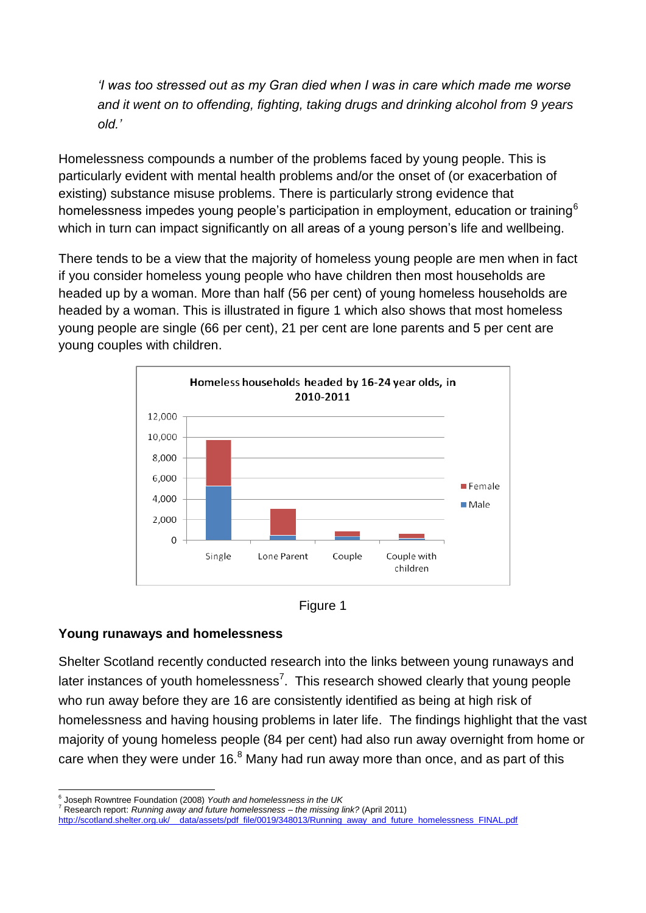*'I was too stressed out as my Gran died when I was in care which made me worse and it went on to offending, fighting, taking drugs and drinking alcohol from 9 years old.'*

Homelessness compounds a number of the problems faced by young people. This is particularly evident with mental health problems and/or the onset of (or exacerbation of existing) substance misuse problems. There is particularly strong evidence that homelessness impedes young people's participation in employment, education or training<sup>6</sup> which in turn can impact significantly on all areas of a young person's life and wellbeing.

There tends to be a view that the majority of homeless young people are men when in fact if you consider homeless young people who have children then most households are headed up by a woman. More than half (56 per cent) of young homeless households are headed by a woman. This is illustrated in figure 1 which also shows that most homeless young people are single (66 per cent), 21 per cent are lone parents and 5 per cent are young couples with children.





### **Young runaways and homelessness**

Shelter Scotland recently conducted research into the links between young runaways and later instances of youth homelessness<sup>7</sup>. This research showed clearly that young people who run away before they are 16 are consistently identified as being at high risk of homelessness and having housing problems in later life. The findings highlight that the vast majority of young homeless people (84 per cent) had also run away overnight from home or care when they were under 16. $8$  Many had run away more than once, and as part of this

<sup>-</sup>6 Joseph Rowntree Foundation (2008) *Youth and homelessness in the UK*

<sup>7</sup> Research report: *Running away and future homelessness – the missing link?* (April 2011)

[http://scotland.shelter.org.uk/\\_\\_data/assets/pdf\\_file/0019/348013/Running\\_away\\_and\\_future\\_homelessness\\_FINAL.pdf](http://scotland.shelter.org.uk/__data/assets/pdf_file/0019/348013/Running_away_and_future_homelessness_FINAL.pdf)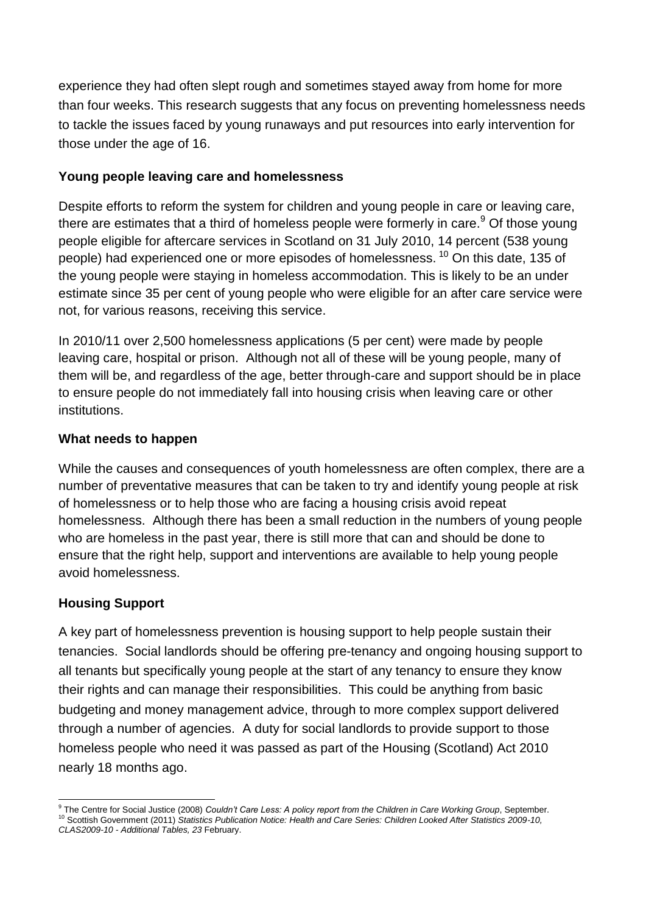experience they had often slept rough and sometimes stayed away from home for more than four weeks. This research suggests that any focus on preventing homelessness needs to tackle the issues faced by young runaways and put resources into early intervention for those under the age of 16.

### **Young people leaving care and homelessness**

Despite efforts to reform the system for children and young people in care or leaving care, there are estimates that a third of homeless people were formerly in care.<sup>9</sup> Of those young people eligible for aftercare services in Scotland on 31 July 2010, 14 percent (538 young people) had experienced one or more episodes of homelessness. <sup>10</sup> On this date, 135 of the young people were staying in homeless accommodation. This is likely to be an under estimate since 35 per cent of young people who were eligible for an after care service were not, for various reasons, receiving this service.

In 2010/11 over 2,500 homelessness applications (5 per cent) were made by people leaving care, hospital or prison. Although not all of these will be young people, many of them will be, and regardless of the age, better through-care and support should be in place to ensure people do not immediately fall into housing crisis when leaving care or other institutions.

## **What needs to happen**

While the causes and consequences of youth homelessness are often complex, there are a number of preventative measures that can be taken to try and identify young people at risk of homelessness or to help those who are facing a housing crisis avoid repeat homelessness. Although there has been a small reduction in the numbers of young people who are homeless in the past year, there is still more that can and should be done to ensure that the right help, support and interventions are available to help young people avoid homelessness.

# **Housing Support**

A key part of homelessness prevention is housing support to help people sustain their tenancies. Social landlords should be offering pre-tenancy and ongoing housing support to all tenants but specifically young people at the start of any tenancy to ensure they know their rights and can manage their responsibilities. This could be anything from basic budgeting and money management advice, through to more complex support delivered through a number of agencies. A duty for social landlords to provide support to those homeless people who need it was passed as part of the Housing (Scotland) Act 2010 nearly 18 months ago.

 9 The Centre for Social Justice (2008) *Couldn't Care Less: A policy report from the Children in Care Working Group*, September. <sup>10</sup> Scottish Government (2011) *Statistics Publication Notice: Health and Care Series: Children Looked After Statistics 2009-10,* 

*CLAS2009-10 - Additional Tables, 23* February.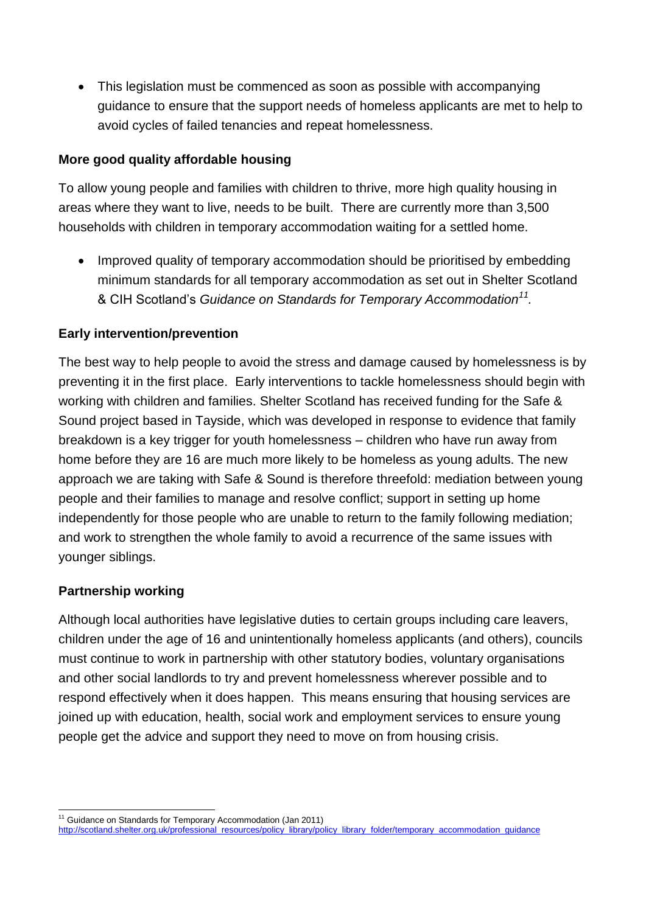• This legislation must be commenced as soon as possible with accompanying guidance to ensure that the support needs of homeless applicants are met to help to avoid cycles of failed tenancies and repeat homelessness.

### **More good quality affordable housing**

To allow young people and families with children to thrive, more high quality housing in areas where they want to live, needs to be built. There are currently more than 3,500 households with children in temporary accommodation waiting for a settled home.

• Improved quality of temporary accommodation should be prioritised by embedding minimum standards for all temporary accommodation as set out in Shelter Scotland & CIH Scotland's *Guidance on Standards for Temporary Accommodation<sup>11</sup> .*

## **Early intervention/prevention**

The best way to help people to avoid the stress and damage caused by homelessness is by preventing it in the first place. Early interventions to tackle homelessness should begin with working with children and families. Shelter Scotland has received funding for the Safe & Sound project based in Tayside, which was developed in response to evidence that family breakdown is a key trigger for youth homelessness – children who have run away from home before they are 16 are much more likely to be homeless as young adults. The new approach we are taking with Safe & Sound is therefore threefold: mediation between young people and their families to manage and resolve conflict; support in setting up home independently for those people who are unable to return to the family following mediation; and work to strengthen the whole family to avoid a recurrence of the same issues with younger siblings.

### **Partnership working**

Although local authorities have legislative duties to certain groups including care leavers, children under the age of 16 and unintentionally homeless applicants (and others), councils must continue to work in partnership with other statutory bodies, voluntary organisations and other social landlords to try and prevent homelessness wherever possible and to respond effectively when it does happen. This means ensuring that housing services are joined up with education, health, social work and employment services to ensure young people get the advice and support they need to move on from housing crisis.

<sup>-</sup><sup>11</sup> Guidance on Standards for Temporary Accommodation (Jan 2011)

[http://scotland.shelter.org.uk/professional\\_resources/policy\\_library/policy\\_library\\_folder/temporary\\_accommodation\\_guidance](http://scotland.shelter.org.uk/professional_resources/policy_library/policy_library_folder/temporary_accommodation_guidance)